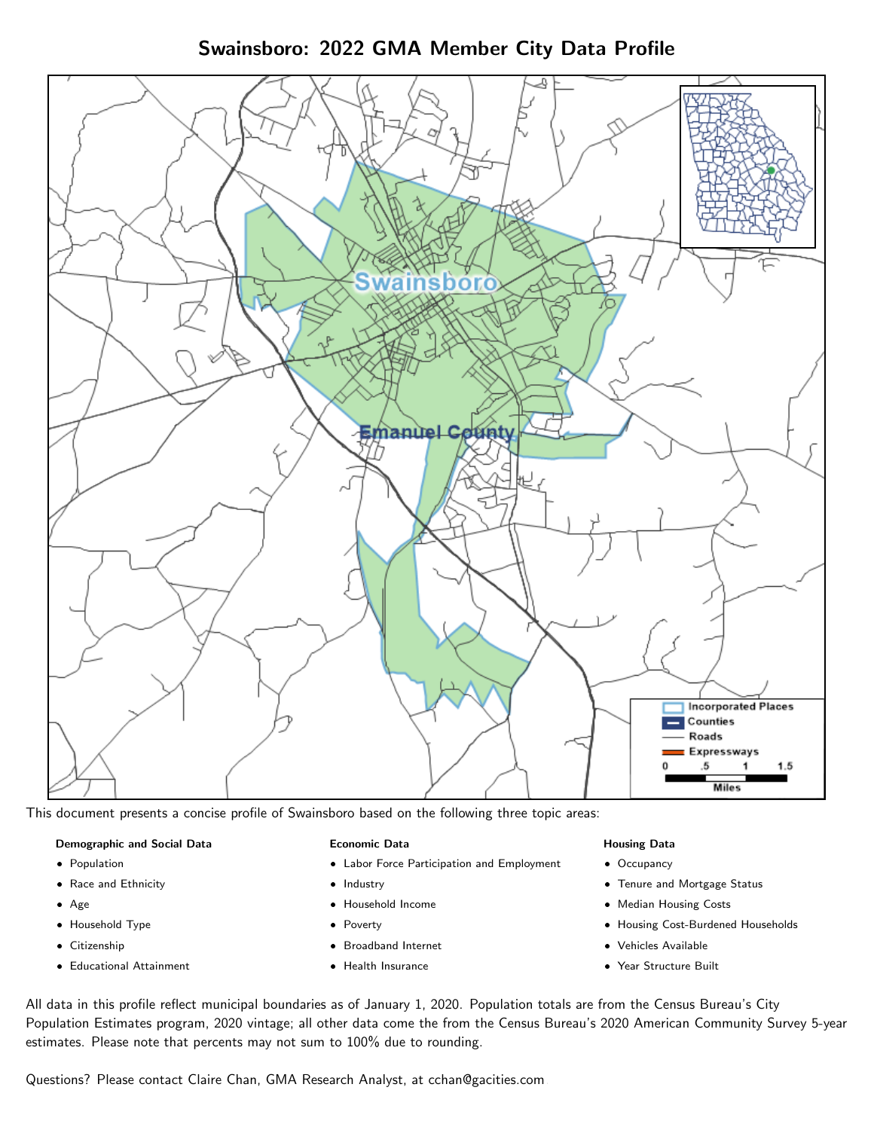Swainsboro: 2022 GMA Member City Data Profile



This document presents a concise profile of Swainsboro based on the following three topic areas:

### Demographic and Social Data

- **•** Population
- Race and Ethnicity
- Age
- Household Type
- **Citizenship**
- Educational Attainment

### Economic Data

- Labor Force Participation and Employment
- Industry
- Household Income
- Poverty
- Broadband Internet
- Health Insurance

### Housing Data

- Occupancy
- Tenure and Mortgage Status
- Median Housing Costs
- Housing Cost-Burdened Households
- Vehicles Available
- Year Structure Built

All data in this profile reflect municipal boundaries as of January 1, 2020. Population totals are from the Census Bureau's City Population Estimates program, 2020 vintage; all other data come the from the Census Bureau's 2020 American Community Survey 5-year estimates. Please note that percents may not sum to 100% due to rounding.

Questions? Please contact Claire Chan, GMA Research Analyst, at [cchan@gacities.com.](mailto:cchan@gacities.com)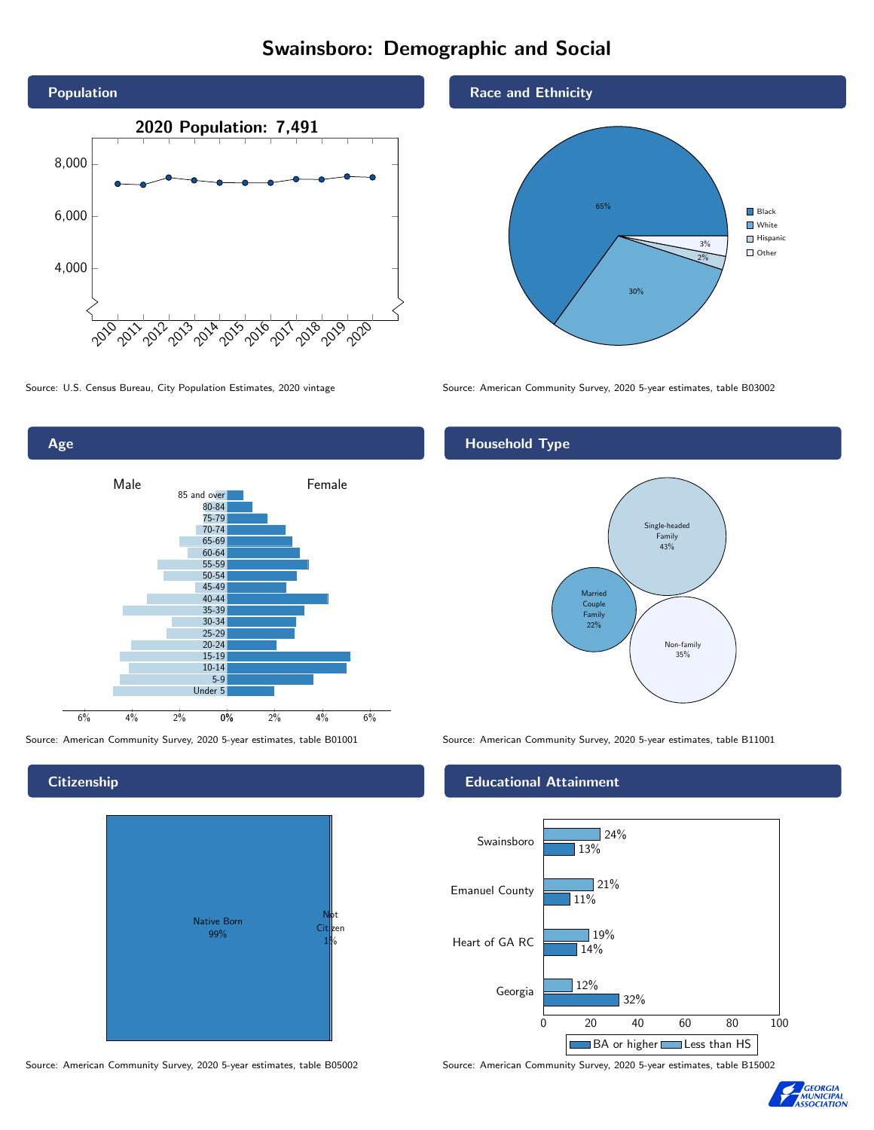# Swainsboro: Demographic and Social





### **Citizenship**



Source: American Community Survey, 2020 5-year estimates, table B05002 Source: American Community Survey, 2020 5-year estimates, table B15002





Source: U.S. Census Bureau, City Population Estimates, 2020 vintage Source: American Community Survey, 2020 5-year estimates, table B03002

# Household Type



Source: American Community Survey, 2020 5-year estimates, table B01001 Source: American Community Survey, 2020 5-year estimates, table B11001

### Educational Attainment



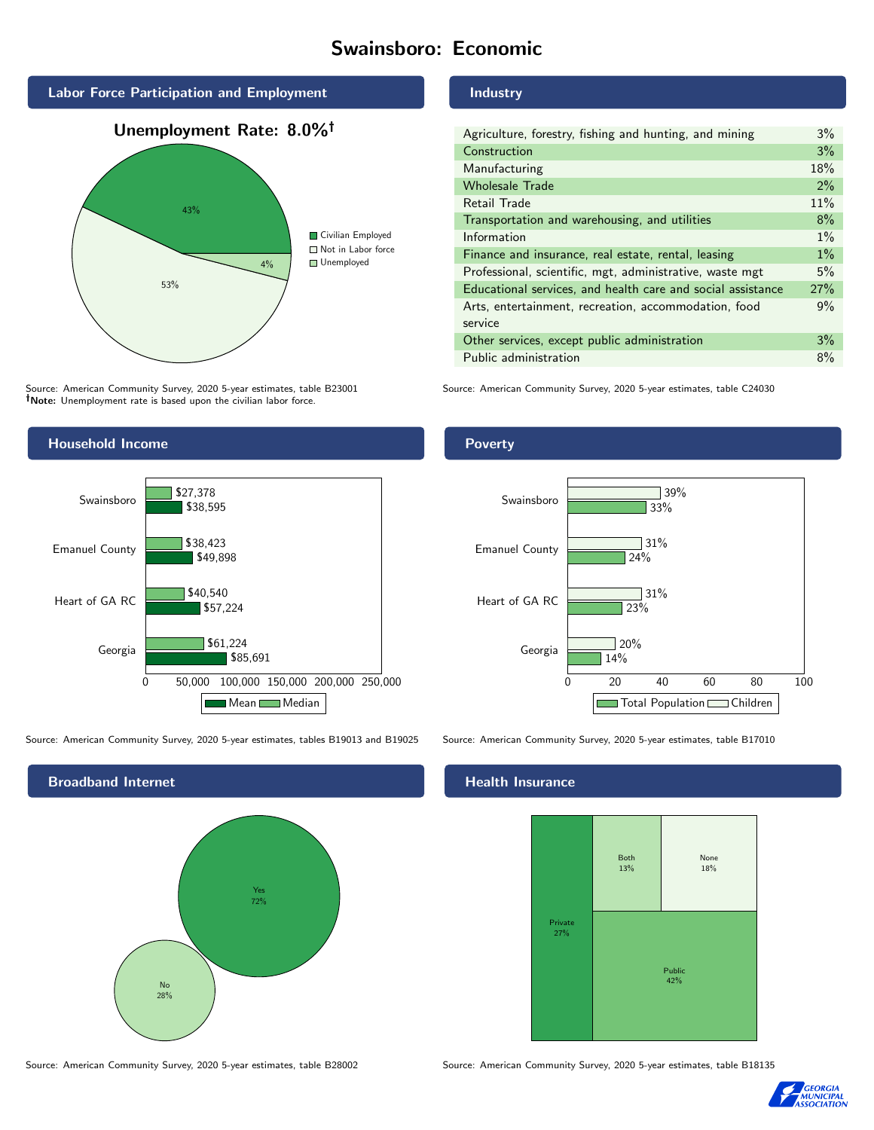# Swainsboro: Economic



Source: American Community Survey, 2020 5-year estimates, table B23001 Note: Unemployment rate is based upon the civilian labor force.

# Industry

| Agriculture, forestry, fishing and hunting, and mining      | 3%    |
|-------------------------------------------------------------|-------|
| Construction                                                | 3%    |
| Manufacturing                                               | 18%   |
| <b>Wholesale Trade</b>                                      | 2%    |
| Retail Trade                                                | 11%   |
| Transportation and warehousing, and utilities               | 8%    |
| Information                                                 | $1\%$ |
| Finance and insurance, real estate, rental, leasing         | $1\%$ |
| Professional, scientific, mgt, administrative, waste mgt    | 5%    |
| Educational services, and health care and social assistance | 27%   |
| Arts, entertainment, recreation, accommodation, food        | 9%    |
| service                                                     |       |
| Other services, except public administration                | 3%    |
| Public administration                                       | 8%    |

Source: American Community Survey, 2020 5-year estimates, table C24030



Source: American Community Survey, 2020 5-year estimates, tables B19013 and B19025 Source: American Community Survey, 2020 5-year estimates, table B17010



Poverty



# **Health Insurance**



Source: American Community Survey, 2020 5-year estimates, table B28002 Source: American Community Survey, 2020 5-year estimates, table B18135